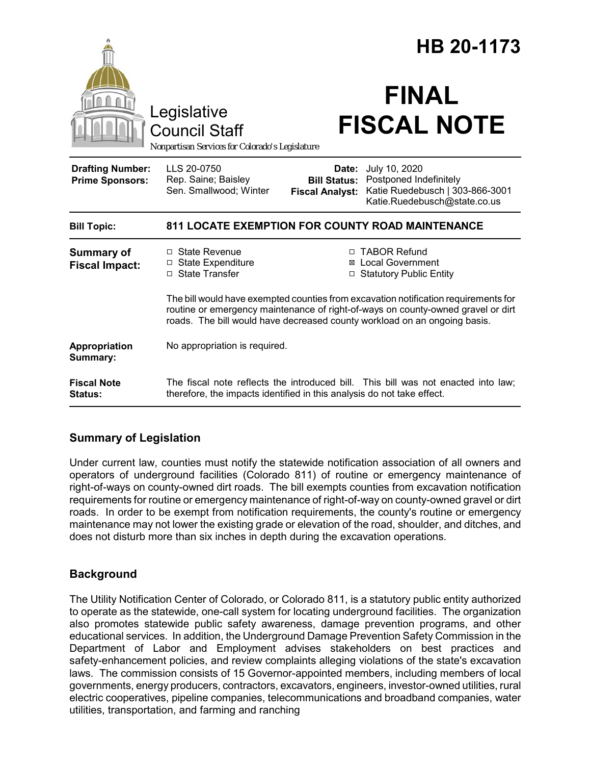|                                                   | Legislative<br><b>Council Staff</b><br>Nonpartisan Services for Colorado's Legislature                                                                                                                                                               |                                                        | HB 20-1173<br><b>FINAL</b><br><b>FISCAL NOTE</b>                                                           |
|---------------------------------------------------|------------------------------------------------------------------------------------------------------------------------------------------------------------------------------------------------------------------------------------------------------|--------------------------------------------------------|------------------------------------------------------------------------------------------------------------|
| <b>Drafting Number:</b><br><b>Prime Sponsors:</b> | LLS 20-0750<br>Rep. Saine; Baisley<br>Sen. Smallwood; Winter                                                                                                                                                                                         | Date:<br><b>Bill Status:</b><br><b>Fiscal Analyst:</b> | July 10, 2020<br>Postponed Indefinitely<br>Katie Ruedebusch   303-866-3001<br>Katie.Ruedebusch@state.co.us |
| <b>Bill Topic:</b>                                | <b>811 LOCATE EXEMPTION FOR COUNTY ROAD MAINTENANCE</b>                                                                                                                                                                                              |                                                        |                                                                                                            |
| <b>Summary of</b><br><b>Fiscal Impact:</b>        | □ State Revenue<br>□ State Expenditure<br>□ State Transfer                                                                                                                                                                                           | ⊠                                                      | □ TABOR Refund<br><b>Local Government</b><br>□ Statutory Public Entity                                     |
|                                                   | The bill would have exempted counties from excavation notification requirements for<br>routine or emergency maintenance of right-of-ways on county-owned gravel or dirt<br>roads. The bill would have decreased county workload on an ongoing basis. |                                                        |                                                                                                            |
| Appropriation<br>Summary:                         | No appropriation is required.                                                                                                                                                                                                                        |                                                        |                                                                                                            |
| <b>Fiscal Note</b><br><b>Status:</b>              | therefore, the impacts identified in this analysis do not take effect.                                                                                                                                                                               |                                                        | The fiscal note reflects the introduced bill. This bill was not enacted into law;                          |

# **Summary of Legislation**

Under current law, counties must notify the statewide notification association of all owners and operators of underground facilities (Colorado 811) of routine or emergency maintenance of right-of-ways on county-owned dirt roads. The bill exempts counties from excavation notification requirements for routine or emergency maintenance of right-of-way on county-owned gravel or dirt roads. In order to be exempt from notification requirements, the county's routine or emergency maintenance may not lower the existing grade or elevation of the road, shoulder, and ditches, and does not disturb more than six inches in depth during the excavation operations.

## **Background**

The Utility Notification Center of Colorado, or Colorado 811, is a statutory public entity authorized to operate as the statewide, one-call system for locating underground facilities. The organization also promotes statewide public safety awareness, damage prevention programs, and other educational services. In addition, the Underground Damage Prevention Safety Commission in the Department of Labor and Employment advises stakeholders on best practices and safety-enhancement policies, and review complaints alleging violations of the state's excavation laws. The commission consists of 15 Governor-appointed members, including members of local governments, energy producers, contractors, excavators, engineers, investor-owned utilities, rural electric cooperatives, pipeline companies, telecommunications and broadband companies, water utilities, transportation, and farming and ranching